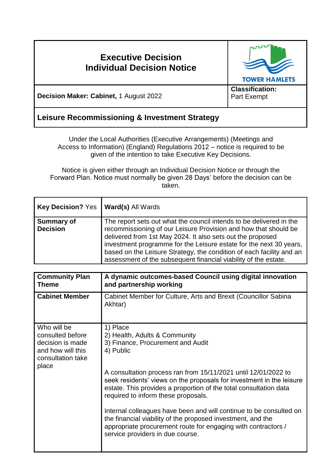# **Executive Decision Individual Decision Notice TOWER HAMLETS Classification: Decision Maker: Cabinet,** 1 August 2022 Part Exempt **Leisure Recommissioning & Investment Strategy**

Under the Local Authorities (Executive Arrangements) (Meetings and Access to Information) (England) Regulations 2012 – notice is required to be given of the intention to take Executive Key Decisions.

Notice is given either through an Individual Decision Notice or through the Forward Plan. Notice must normally be given 28 Days' before the decision can be taken.

| <b>Key Decision? Yes</b>      | <b>Ward(s) All Wards</b>                                                                                                                                                                                                                                                                                                                                                                                              |
|-------------------------------|-----------------------------------------------------------------------------------------------------------------------------------------------------------------------------------------------------------------------------------------------------------------------------------------------------------------------------------------------------------------------------------------------------------------------|
| Summary of<br><b>Decision</b> | The report sets out what the council intends to be delivered in the<br>recommissioning of our Leisure Provision and how that should be<br>delivered from 1st May 2024. It also sets out the proposed<br>investment programme for the Leisure estate for the next 30 years,<br>based on the Leisure Strategy, the condition of each facility and an<br>assessment of the subsequent financial viability of the estate. |

| <b>Community Plan</b><br><b>Theme</b>                                                                  | A dynamic outcomes-based Council using digital innovation<br>and partnership working                                                                                                                                                                                                                                                                                                                                                                                                                                                                                                        |
|--------------------------------------------------------------------------------------------------------|---------------------------------------------------------------------------------------------------------------------------------------------------------------------------------------------------------------------------------------------------------------------------------------------------------------------------------------------------------------------------------------------------------------------------------------------------------------------------------------------------------------------------------------------------------------------------------------------|
| <b>Cabinet Member</b>                                                                                  | Cabinet Member for Culture, Arts and Brexit (Councillor Sabina<br>Akhtar)                                                                                                                                                                                                                                                                                                                                                                                                                                                                                                                   |
| Who will be<br>consulted before<br>decision is made<br>and how will this<br>consultation take<br>place | 1) Place<br>2) Health, Adults & Community<br>3) Finance, Procurement and Audit<br>4) Public<br>A consultation process ran from 15/11/2021 until 12/01/2022 to<br>seek residents' views on the proposals for investment in the leisure<br>estate. This provides a proportion of the total consultation data<br>required to inform these proposals.<br>Internal colleagues have been and will continue to be consulted on<br>the financial viability of the proposed investment, and the<br>appropriate procurement route for engaging with contractors /<br>service providers in due course. |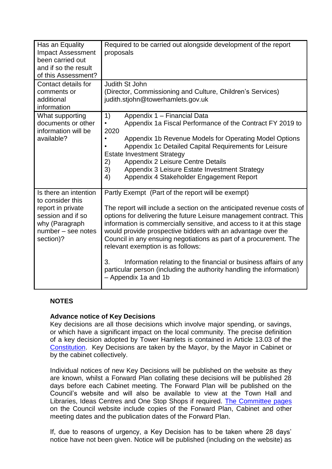| Has an Equality<br><b>Impact Assessment</b><br>been carried out<br>and if so the result<br>of this Assessment?                           | Required to be carried out alongside development of the report<br>proposals                                                                                                                                                                                                                                                                                                                                                                                                                                                                                                                                                    |
|------------------------------------------------------------------------------------------------------------------------------------------|--------------------------------------------------------------------------------------------------------------------------------------------------------------------------------------------------------------------------------------------------------------------------------------------------------------------------------------------------------------------------------------------------------------------------------------------------------------------------------------------------------------------------------------------------------------------------------------------------------------------------------|
| Contact details for<br>comments or<br>additional<br>information                                                                          | Judith St John<br>(Director, Commissioning and Culture, Children's Services)<br>judith.stjohn@towerhamlets.gov.uk                                                                                                                                                                                                                                                                                                                                                                                                                                                                                                              |
| What supporting<br>documents or other<br>information will be<br>available?                                                               | 1)<br>Appendix 1 - Financial Data<br>Appendix 1a Fiscal Performance of the Contract FY 2019 to<br>$\bullet$<br>2020<br>Appendix 1b Revenue Models for Operating Model Options<br>$\bullet$<br>Appendix 1c Detailed Capital Requirements for Leisure<br><b>Estate Investment Strategy</b><br>Appendix 2 Leisure Centre Details<br>2)<br>3)<br>Appendix 3 Leisure Estate Investment Strategy<br>4)<br>Appendix 4 Stakeholder Engagement Report                                                                                                                                                                                   |
| Is there an intention<br>to consider this<br>report in private<br>session and if so<br>why (Paragraph<br>number - see notes<br>section)? | Partly Exempt (Part of the report will be exempt)<br>The report will include a section on the anticipated revenue costs of<br>options for delivering the future Leisure management contract. This<br>information is commercially sensitive, and access to it at this stage<br>would provide prospective bidders with an advantage over the<br>Council in any ensuing negotiations as part of a procurement. The<br>relevant exemption is as follows:<br>3.<br>Information relating to the financial or business affairs of any<br>particular person (including the authority handling the information)<br>- Appendix 1a and 1b |

## **NOTES**

### **Advance notice of Key Decisions**

Key decisions are all those decisions which involve major spending, or savings, or which have a significant impact on the local community. The precise definition of a key decision adopted by Tower Hamlets is contained in Article 13.03 of the [Constitution.](http://democracy.towerhamlets.gov.uk/ieListMeetings.aspx?CId=663&Year=0&info=1&MD=Constitution) Key Decisions are taken by the Mayor, by the Mayor in Cabinet or by the cabinet collectively.

Individual notices of new Key Decisions will be published on the website as they are known, whilst a Forward Plan collating these decisions will be published 28 days before each Cabinet meeting. The Forward Plan will be published on the Council's website and will also be available to view at the Town Hall and Libraries, Ideas Centres and One Stop Shops if required. [The Committee pages](https://democracy.towerhamlets.gov.uk/uuCoverPage.aspx?bcr=1) on the Council website include copies of the Forward Plan, Cabinet and other meeting dates and the publication dates of the Forward Plan.

If, due to reasons of urgency, a Key Decision has to be taken where 28 days' notice have not been given. Notice will be published (including on the website) as